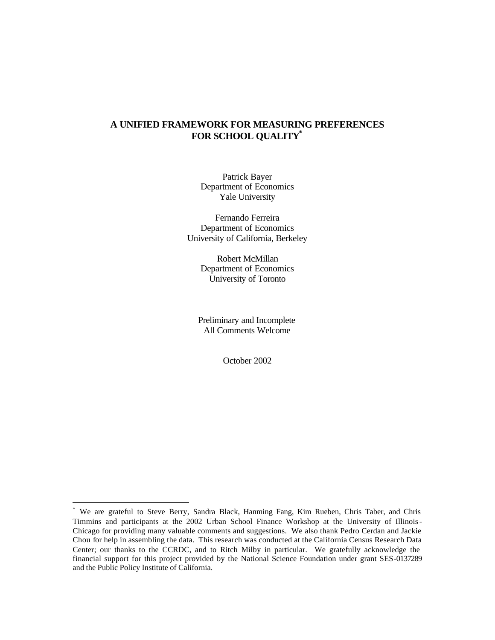# **A UNIFIED FRAMEWORK FOR MEASURING PREFERENCES FOR SCHOOL QUALITY\***

Patrick Bayer Department of Economics Yale University

Fernando Ferreira Department of Economics University of California, Berkeley

> Robert McMillan Department of Economics University of Toronto

Preliminary and Incomplete All Comments Welcome

October 2002

 $\ddot{\phantom{a}}$ 

<sup>\*</sup> We are grateful to Steve Berry, Sandra Black, Hanming Fang, Kim Rueben, Chris Taber, and Chris Timmins and participants at the 2002 Urban School Finance Workshop at the University of Illinois-Chicago for providing many valuable comments and suggestions. We also thank Pedro Cerdan and Jackie Chou for help in assembling the data. This research was conducted at the California Census Research Data Center; our thanks to the CCRDC, and to Ritch Milby in particular. We gratefully acknowledge the financial support for this project provided by the National Science Foundation under grant SES-0137289 and the Public Policy Institute of California.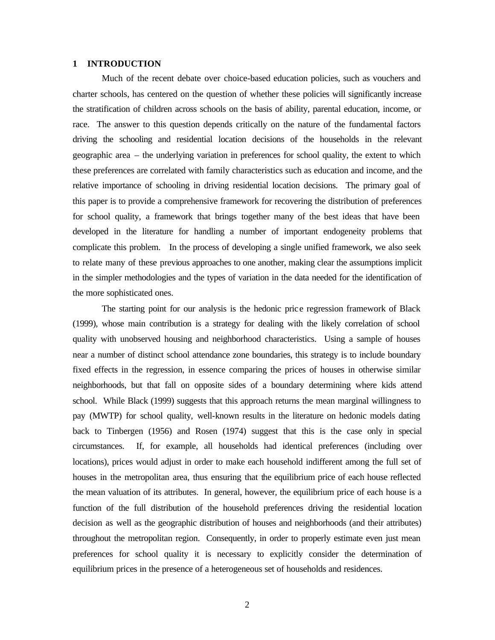#### **1 INTRODUCTION**

Much of the recent debate over choice-based education policies, such as vouchers and charter schools, has centered on the question of whether these policies will significantly increase the stratification of children across schools on the basis of ability, parental education, income, or race. The answer to this question depends critically on the nature of the fundamental factors driving the schooling and residential location decisions of the households in the relevant geographic area – the underlying variation in preferences for school quality, the extent to which these preferences are correlated with family characteristics such as education and income, and the relative importance of schooling in driving residential location decisions. The primary goal of this paper is to provide a comprehensive framework for recovering the distribution of preferences for school quality, a framework that brings together many of the best ideas that have been developed in the literature for handling a number of important endogeneity problems that complicate this problem. In the process of developing a single unified framework, we also seek to relate many of these previous approaches to one another, making clear the assumptions implicit in the simpler methodologies and the types of variation in the data needed for the identification of the more sophisticated ones.

The starting point for our analysis is the hedonic price regression framework of Black (1999), whose main contribution is a strategy for dealing with the likely correlation of school quality with unobserved housing and neighborhood characteristics. Using a sample of houses near a number of distinct school attendance zone boundaries, this strategy is to include boundary fixed effects in the regression, in essence comparing the prices of houses in otherwise similar neighborhoods, but that fall on opposite sides of a boundary determining where kids attend school. While Black (1999) suggests that this approach returns the mean marginal willingness to pay (MWTP) for school quality, well-known results in the literature on hedonic models dating back to Tinbergen (1956) and Rosen (1974) suggest that this is the case only in special circumstances. If, for example, all households had identical preferences (including over locations), prices would adjust in order to make each household indifferent among the full set of houses in the metropolitan area, thus ensuring that the equilibrium price of each house reflected the mean valuation of its attributes. In general, however, the equilibrium price of each house is a function of the full distribution of the household preferences driving the residential location decision as well as the geographic distribution of houses and neighborhoods (and their attributes) throughout the metropolitan region. Consequently, in order to properly estimate even just mean preferences for school quality it is necessary to explicitly consider the determination of equilibrium prices in the presence of a heterogeneous set of households and residences.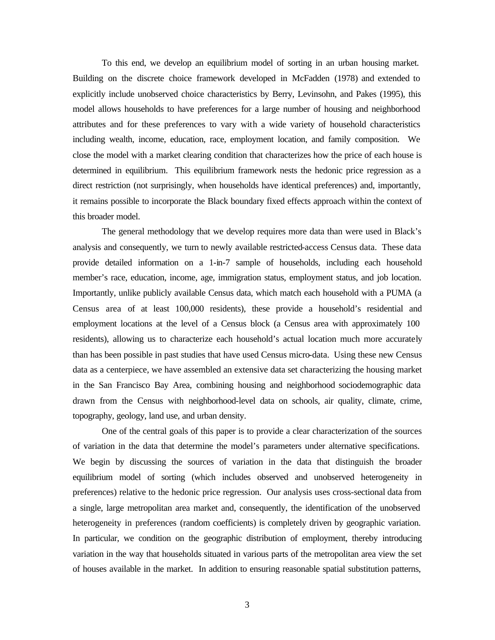To this end, we develop an equilibrium model of sorting in an urban housing market. Building on the discrete choice framework developed in McFadden (1978) and extended to explicitly include unobserved choice characteristics by Berry, Levinsohn, and Pakes (1995), this model allows households to have preferences for a large number of housing and neighborhood attributes and for these preferences to vary with a wide variety of household characteristics including wealth, income, education, race, employment location, and family composition. We close the model with a market clearing condition that characterizes how the price of each house is determined in equilibrium. This equilibrium framework nests the hedonic price regression as a direct restriction (not surprisingly, when households have identical preferences) and, importantly, it remains possible to incorporate the Black boundary fixed effects approach within the context of this broader model.

The general methodology that we develop requires more data than were used in Black's analysis and consequently, we turn to newly available restricted-access Census data. These data provide detailed information on a 1-in-7 sample of households, including each household member's race, education, income, age, immigration status, employment status, and job location. Importantly, unlike publicly available Census data, which match each household with a PUMA (a Census area of at least 100,000 residents), these provide a household's residential and employment locations at the level of a Census block (a Census area with approximately 100 residents), allowing us to characterize each household's actual location much more accurately than has been possible in past studies that have used Census micro-data. Using these new Census data as a centerpiece, we have assembled an extensive data set characterizing the housing market in the San Francisco Bay Area, combining housing and neighborhood sociodemographic data drawn from the Census with neighborhood-level data on schools, air quality, climate, crime, topography, geology, land use, and urban density.

One of the central goals of this paper is to provide a clear characterization of the sources of variation in the data that determine the model's parameters under alternative specifications. We begin by discussing the sources of variation in the data that distinguish the broader equilibrium model of sorting (which includes observed and unobserved heterogeneity in preferences) relative to the hedonic price regression. Our analysis uses cross-sectional data from a single, large metropolitan area market and, consequently, the identification of the unobserved heterogeneity in preferences (random coefficients) is completely driven by geographic variation. In particular, we condition on the geographic distribution of employment, thereby introducing variation in the way that households situated in various parts of the metropolitan area view the set of houses available in the market. In addition to ensuring reasonable spatial substitution patterns,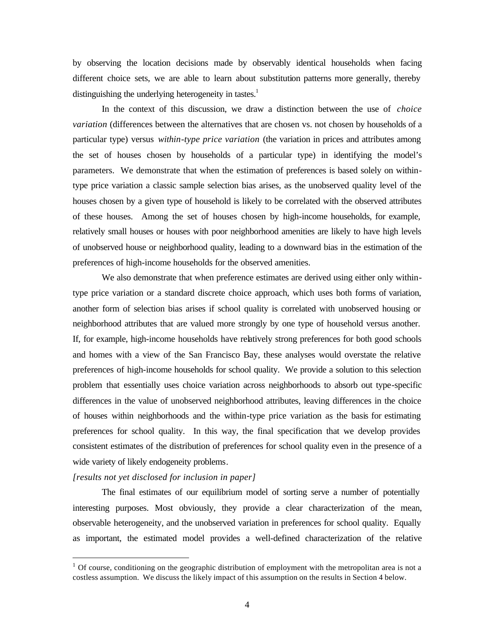by observing the location decisions made by observably identical households when facing different choice sets, we are able to learn about substitution patterns more generally, thereby distinguishing the underlying heterogeneity in tastes.<sup>1</sup>

In the context of this discussion, we draw a distinction between the use of *choice variation* (differences between the alternatives that are chosen vs. not chosen by households of a particular type) versus *within-type price variation* (the variation in prices and attributes among the set of houses chosen by households of a particular type) in identifying the model's parameters. We demonstrate that when the estimation of preferences is based solely on withintype price variation a classic sample selection bias arises, as the unobserved quality level of the houses chosen by a given type of household is likely to be correlated with the observed attributes of these houses. Among the set of houses chosen by high-income households, for example, relatively small houses or houses with poor neighborhood amenities are likely to have high levels of unobserved house or neighborhood quality, leading to a downward bias in the estimation of the preferences of high-income households for the observed amenities.

We also demonstrate that when preference estimates are derived using either only withintype price variation or a standard discrete choice approach, which uses both forms of variation, another form of selection bias arises if school quality is correlated with unobserved housing or neighborhood attributes that are valued more strongly by one type of household versus another. If, for example, high-income households have relatively strong preferences for both good schools and homes with a view of the San Francisco Bay, these analyses would overstate the relative preferences of high-income households for school quality. We provide a solution to this selection problem that essentially uses choice variation across neighborhoods to absorb out type-specific differences in the value of unobserved neighborhood attributes, leaving differences in the choice of houses within neighborhoods and the within-type price variation as the basis for estimating preferences for school quality. In this way, the final specification that we develop provides consistent estimates of the distribution of preferences for school quality even in the presence of a wide variety of likely endogeneity problems.

### *[results not yet disclosed for inclusion in paper]*

 $\ddot{\phantom{a}}$ 

The final estimates of our equilibrium model of sorting serve a number of potentially interesting purposes. Most obviously, they provide a clear characterization of the mean, observable heterogeneity, and the unobserved variation in preferences for school quality. Equally as important, the estimated model provides a well-defined characterization of the relative

 $1$  Of course, conditioning on the geographic distribution of employment with the metropolitan area is not a costless assumption. We discuss the likely impact of this assumption on the results in Section 4 below.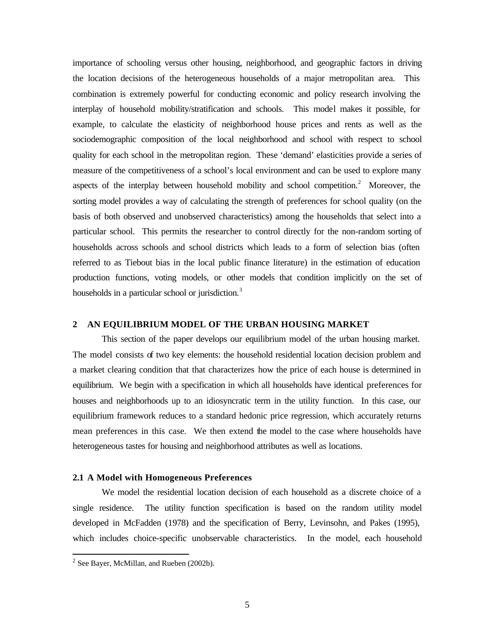importance of schooling versus other housing, neighborhood, and geographic factors in driving the location decisions of the heterogeneous households of a major metropolitan area. This combination is extremely powerful for conducting economic and policy research involving the interplay of household mobility/stratification and schools. This model makes it possible, for example, to calculate the elasticity of neighborhood house prices and rents as well as the sociodemographic composition of the local neighborhood and school with respect to school quality for each school in the metropolitan region. These 'demand' elasticities provide a series of measure of the competitiveness of a school's local environment and can be used to explore many aspects of the interplay between household mobility and school competition. $2$  Moreover, the sorting model provides a way of calculating the strength of preferences for school quality (on the basis of both observed and unobserved characteristics) among the households that select into a particular school. This permits the researcher to control directly for the non-random sorting of households across schools and school districts which leads to a form of selection bias (often referred to as Tiebout bias in the local public finance literature) in the estimation of education production functions, voting models, or other models that condition implicitly on the set of households in a particular school or jurisdiction.<sup>3</sup>

## **2 AN EQUILIBRIUM MODEL OF THE URBAN HOUSING MARKET**

This section of the paper develops our equilibrium model of the urban housing market. The model consists of two key elements: the household residential location decision problem and a market clearing condition that that characterizes how the price of each house is determined in equilibrium. We begin with a specification in which all households have identical preferences for houses and neighborhoods up to an idiosyncratic term in the utility function. In this case, our equilibrium framework reduces to a standard hedonic price regression, which accurately returns mean preferences in this case. We then extend the model to the case where households have heterogeneous tastes for housing and neighborhood attributes as well as locations.

#### **2.1 A Model with Homogeneous Preferences**

We model the residential location decision of each household as a discrete choice of a single residence. The utility function specification is based on the random utility model developed in McFadden (1978) and the specification of Berry, Levinsohn, and Pakes (1995), which includes choice-specific unobservable characteristics. In the model, each household

<sup>&</sup>lt;sup>2</sup> See Bayer, McMillan, and Rueben (2002b).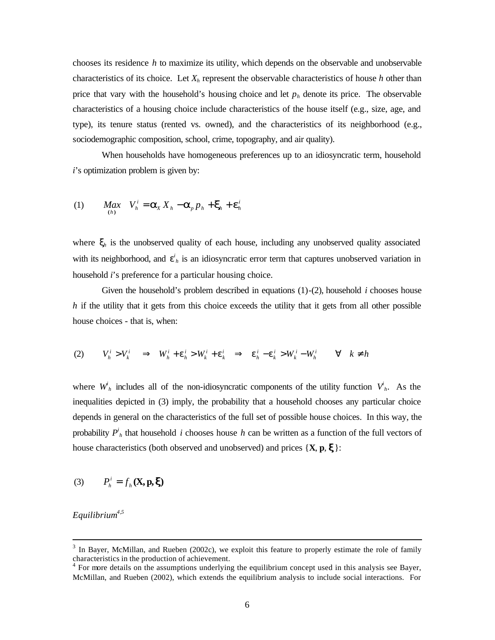chooses its residence *h* to maximize its utility, which depends on the observable and unobservable characteristics of its choice. Let  $X_h$  represent the observable characteristics of house *h* other than price that vary with the household's housing choice and let  $p_h$  denote its price. The observable characteristics of a housing choice include characteristics of the house itself (e.g., size, age, and type), its tenure status (rented vs. owned), and the characteristics of its neighborhood (e.g., sociodemographic composition, school, crime, topography, and air quality).

When households have homogeneous preferences up to an idiosyncratic term, household *i*'s optimization problem is given by:

(1) 
$$
Max_{(h)} V_h^i = \mathbf{a}_X X_h - \mathbf{a}_p p_h + \mathbf{x}_h + \mathbf{e}_h^i
$$

where  $\mathbf{x}_h$  is the unobserved quality of each house, including any unobserved quality associated with its neighborhood, and  $e^i$ <sub>h</sub> is an idiosyncratic error term that captures unobserved variation in household *i*'s preference for a particular housing choice.

Given the household's problem described in equations (1)-(2), household *i* chooses house *h* if the utility that it gets from this choice exceeds the utility that it gets from all other possible house choices - that is, when:

$$
(2) \tVhi > Vki \implies Whi + \mathbf{e}hi > Wki + \mathbf{e}ki \implies \mathbf{e}hi - \mathbf{e}ki > Wki - Whi \qquad \forall \quad k \neq h
$$

where  $W_h^i$  includes all of the non-idiosyncratic components of the utility function  $V_h^i$ . As the inequalities depicted in (3) imply, the probability that a household chooses any particular choice depends in general on the characteristics of the full set of possible house choices. In this way, the probability  $P^i_{h}$  that household *i* chooses house *h* can be written as a function of the full vectors of house characteristics (both observed and unobserved) and prices  $\{X, p, x\}$ :

(3) 
$$
P_h^i = f_h(\mathbf{X}, \mathbf{p}, \mathbf{x})
$$

*Equilibrium4,5*

<sup>&</sup>lt;sup>3</sup> In Bayer, McMillan, and Rueben (2002c), we exploit this feature to properly estimate the role of family characteristics in the production of achievement.<br><sup>4</sup> For more details on the assumptions underlying the equilibrium concept used in this analysis see Bayer,

McMillan, and Rueben (2002), which extends the equilibrium analysis to include social interactions. For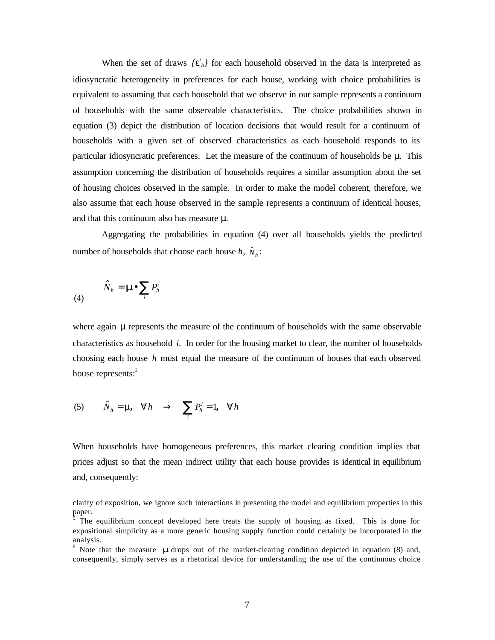When the set of draws  ${e^{i}}_{h}$  for each household observed in the data is interpreted as idiosyncratic heterogeneity in preferences for each house, working with choice probabilities is equivalent to assuming that each household that we observe in our sample represents a continuum of households with the same observable characteristics. The choice probabilities shown in equation (3) depict the distribution of location decisions that would result for a continuum of households with a given set of observed characteristics as each household responds to its particular idiosyncratic preferences. Let the measure of the continuum of households be *m*. This assumption concerning the distribution of households requires a similar assumption about the set of housing choices observed in the sample. In order to make the model coherent, therefore, we also assume that each house observed in the sample represents a continuum of identical houses, and that this continuum also has measure *m*.

Aggregating the probabilities in equation (4) over all households yields the predicted number of households that choose each house  $h$ ,  $\hat{N}_h$ :

$$
\hat{N}_h = \mathbf{m} \sum_i P_h^i
$$

 $\ddot{\phantom{a}}$ 

where again **m** represents the measure of the continuum of households with the same observable characteristics as household *i*. In order for the housing market to clear, the number of households choosing each house *h* must equal the measure of the continuum of houses that each observed house represents:<sup>6</sup>

(5) 
$$
\hat{N}_h = m, \forall h \implies \sum_i P_h^i = 1, \forall h
$$

When households have homogeneous preferences, this market clearing condition implies that prices adjust so that the mean indirect utility that each house provides is identical in equilibrium and, consequently:

clarity of exposition, we ignore such interactions in presenting the model and equilibrium properties in this paper.<br><sup>5</sup> The

The equilibrium concept developed here treats the supply of housing as fixed. This is done for expositional simplicity as a more generic housing supply function could certainly be incorporated in the analysis.

<sup>&</sup>lt;sup>6</sup> Note that the measure **m** drops out of the market-clearing condition depicted in equation (8) and, consequently, simply serves as a rhetorical device for understanding the use of the continuous choice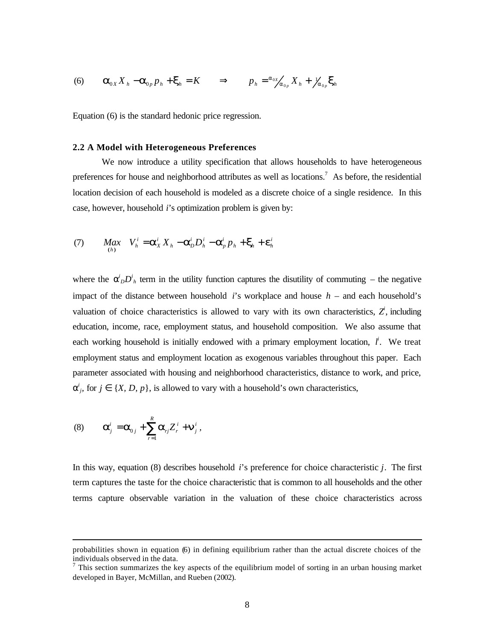(6) 
$$
\mathbf{a}_{0X} X_h - \mathbf{a}_{0p} p_h + \mathbf{x}_h = K \implies p_h = \frac{\partial \alpha_X}{\partial \mathbf{a}_{0p}} X_h + \frac{\partial \alpha_Y}{\partial \mathbf{a}_{0p}} \mathbf{x}_h
$$

Equation (6) is the standard hedonic price regression.

### **2.2 A Model with Heterogeneous Preferences**

We now introduce a utility specification that allows households to have heterogeneous preferences for house and neighborhood attributes as well as locations.<sup>7</sup> As before, the residential location decision of each household is modeled as a discrete choice of a single residence. In this case, however, household *i*'s optimization problem is given by:

(7) 
$$
Max_{(h)} V_h^i = \mathbf{a}_X^i X_h - \mathbf{a}_D^i D_h^i - \mathbf{a}_p^i p_h + \mathbf{x}_h + \mathbf{e}_h^i
$$

where the  $a^i_D D^i_A$  term in the utility function captures the disutility of commuting – the negative impact of the distance between household *i*'s workplace and house *h* – and each household's valuation of choice characteristics is allowed to vary with its own characteristics,  $Z^i$ , including education, income, race, employment status, and household composition. We also assume that each working household is initially endowed with a primary employment location,  $l^i$ . We treat employment status and employment location as exogenous variables throughout this paper. Each parameter associated with housing and neighborhood characteristics, distance to work, and price,  $a^i_j$ , for  $j \in \{X, D, p\}$ , is allowed to vary with a household's own characteristics,

(8) 
$$
\mathbf{a}_j^i = \mathbf{a}_{0j} + \sum_{r=1}^R \mathbf{a}_{rj} Z_r^i + \mathbf{n}_j^i,
$$

 $\ddot{\phantom{a}}$ 

In this way, equation (8) describes household *i*'s preference for choice characteristic *j*. The first term captures the taste for the choice characteristic that is common to all households and the other terms capture observable variation in the valuation of these choice characteristics across

probabilities shown in equation (6) in defining equilibrium rather than the actual discrete choices of the individuals observed in the data.

 $<sup>7</sup>$  This section summarizes the key aspects of the equilibrium model of sorting in an urban housing market</sup> developed in Bayer, McMillan, and Rueben (2002).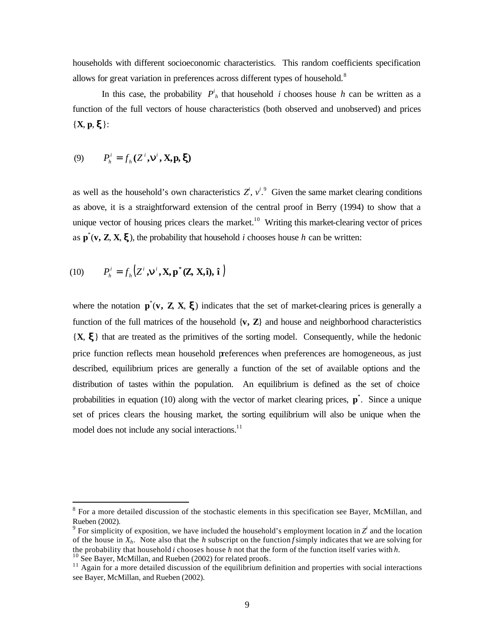households with different socioeconomic characteristics. This random coefficients specification allows for great variation in preferences across different types of household.<sup>8</sup>

In this case, the probability  $P^i_{h}$  that household *i* chooses house *h* can be written as a function of the full vectors of house characteristics (both observed and unobserved) and prices  ${X, p, \mathbf{x}}$ :

(9) 
$$
P_h^i = f_h(Z^i, \mathbf{n}^i, \mathbf{X}, \mathbf{p}, \mathbf{x})
$$

as well as the household's own characteristics  $Z^i$ ,  $v^i$ . Given the same market clearing conditions as above, it is a straightforward extension of the central proof in Berry (1994) to show that a unique vector of housing prices clears the market.<sup>10</sup> Writing this market-clearing vector of prices as  $\mathbf{p}^*(\mathbf{v}, \mathbf{Z}, \mathbf{X}, \mathbf{x})$ , the probability that household *i* chooses house *h* can be written:

(10) 
$$
P_h^i = f_h(Z^i, \boldsymbol{n}^i, \mathbf{X}, \mathbf{p}^*(\mathbf{Z}, \mathbf{X}, \hat{\mathbf{n}}), \hat{\mathbf{i}})
$$

 $\ddot{\phantom{a}}$ 

where the notation  $\mathbf{p}^*(\mathbf{v}, \mathbf{Z}, \mathbf{X}, \mathbf{x})$  indicates that the set of market-clearing prices is generally a function of the full matrices of the household  $\{v, Z\}$  and house and neighborhood characteristics {**X**, **x**} that are treated as the primitives of the sorting model. Consequently, while the hedonic price function reflects mean household preferences when preferences are homogeneous, as just described, equilibrium prices are generally a function of the set of available options and the distribution of tastes within the population. An equilibrium is defined as the set of choice probabilities in equation (10) along with the vector of market clearing prices, **p**<sup>\*</sup>. Since a unique set of prices clears the housing market*,* the sorting equilibrium will also be unique when the model does not include any social interactions. $11$ 

<sup>&</sup>lt;sup>8</sup> For a more detailed discussion of the stochastic elements in this specification see Bayer, McMillan, and Rueben (2002).

<sup>&</sup>lt;sup>9</sup> For simplicity of exposition, we have included the household's employment location in  $Z^i$  and the location of the house in *Xh*. Note also that the *h* subscript on the function *f* simply indicates that we are solving for the probability that household *i* chooses house *h* not that the form of the function itself varies with *h.*  $10$  See Bayer, McMillan, and Rueben (2002) for related proofs.

<sup>&</sup>lt;sup>11</sup> Again for a more detailed discussion of the equilibrium definition and properties with social interactions see Bayer, McMillan, and Rueben (2002).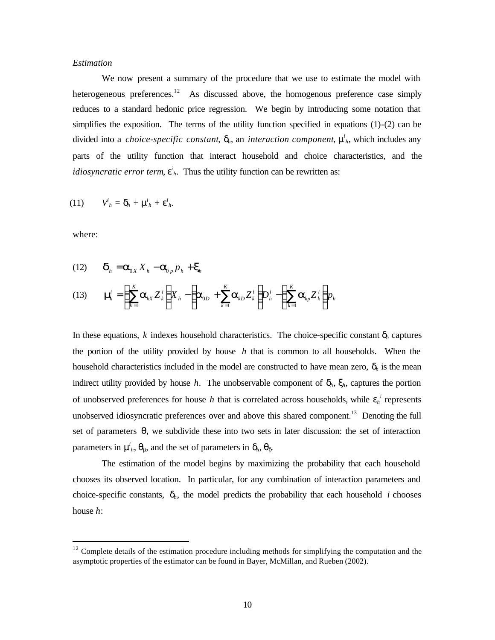### *Estimation*

We now present a summary of the procedure that we use to estimate the model with heterogeneous preferences.<sup>12</sup> As discussed above, the homogenous preference case simply reduces to a standard hedonic price regression. We begin by introducing some notation that simplifies the exposition. The terms of the utility function specified in equations (1)-(2) can be divided into a *choice-specific constant*, *dh*, an *interaction component*, *m i <sup>h</sup>*, which includes any parts of the utility function that interact household and choice characteristics, and the *idiosyncratic error term*,  $e^i$ , Thus the utility function can be rewritten as:

$$
(11) \tV'_{h} = \boldsymbol{d}_{h} + \boldsymbol{m}'_{h} + \boldsymbol{e}'_{h}.
$$

where:

 $\ddot{\phantom{a}}$ 

(12) 
$$
\mathbf{d}_h = \mathbf{a}_{0X} X_h - \mathbf{a}_{0p} p_h + \mathbf{x}_h
$$

(13) 
$$
\mathbf{m}_{n}^{i} = \left(\sum_{k=1}^{K} \mathbf{a}_{kX} Z_{k}^{i}\right) X_{h} - \left(\mathbf{a}_{0D} + \sum_{k=1}^{K} \mathbf{a}_{kD} Z_{k}^{i}\right) D_{h}^{i} - \left(\sum_{k=1}^{K} \mathbf{a}_{kp} Z_{k}^{i}\right) p_{h}
$$

In these equations,  $k$  indexes household characteristics. The choice-specific constant  $\mathbf{d}_h$  captures the portion of the utility provided by house *h* that is common to all households. When the household characteristics included in the model are constructed to have mean zero,  $d_h$  is the mean indirect utility provided by house *h*. The unobservable component of  $d_h$ ,  $x_h$ , captures the portion of unobserved preferences for house *h* that is correlated across households, while  $e_h^i$  represents unobserved idiosyncratic preferences over and above this shared component.<sup>13</sup> Denoting the full set of parameters *q*, we subdivide these into two sets in later discussion: the set of interaction parameters in  $m$ <sup>*ih*</sup>,  $q$ <sub>*m*</sub>, and the set of parameters in  $d$ <sub>*h*</sub>,  $q$ <sub>*d*</sub>.

The estimation of the model begins by maximizing the probability that each household chooses its observed location. In particular, for any combination of interaction parameters and choice-specific constants,  $\mathbf{d}_h$ , the model predicts the probability that each household *i* chooses house *h*:

 $12$  Complete details of the estimation procedure including methods for simplifying the computation and the asymptotic properties of the estimator can be found in Bayer, McMillan, and Rueben (2002).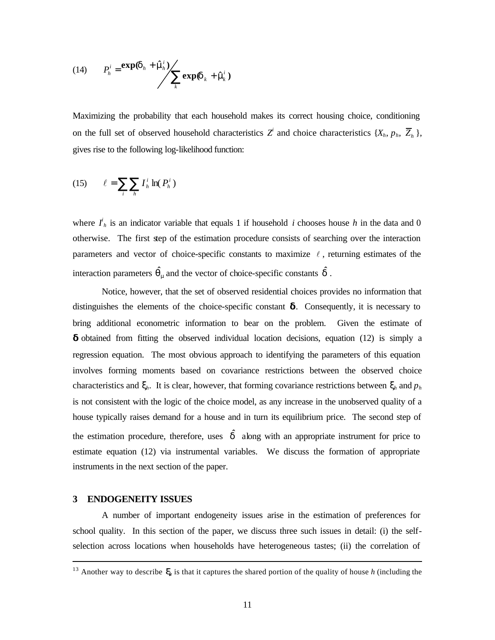(14) 
$$
P_h^i = \frac{\exp(\boldsymbol{d}_h + \hat{\boldsymbol{n}} h_h^i)}{\sum_k \exp(\boldsymbol{d}_k + \hat{\boldsymbol{n}} h_k^i)}
$$

Maximizing the probability that each household makes its correct housing choice, conditioning on the full set of observed household characteristics  $Z^i$  and choice characteristics  $\{X_h, p_h, \overline{Z}_h\}$ , gives rise to the following log-likelihood function:

$$
(15) \qquad \ell = \sum_{i} \sum_{h} I_h^i \ln(P_h^i)
$$

where  $I^i_h$  is an indicator variable that equals 1 if household *i* chooses house *h* in the data and 0 otherwise. The first step of the estimation procedure consists of searching over the interaction parameters and vector of choice-specific constants to maximize  $\ell$ , returning estimates of the interaction parameters  $\hat{\mathbf{q}}_m$  and the vector of choice-specific constants  $\hat{\mathbf{d}}$ .

Notice, however, that the set of observed residential choices provides no information that distinguishes the elements of the choice-specific constant **d**. Consequently, it is necessary to bring additional econometric information to bear on the problem. Given the estimate of **d** obtained from fitting the observed individual location decisions, equation (12) is simply a regression equation. The most obvious approach to identifying the parameters of this equation involves forming moments based on covariance restrictions between the observed choice characteristics and  $\mathbf{x}_h$ . It is clear, however, that forming covariance restrictions between  $\mathbf{x}_h$  and  $p_h$ is not consistent with the logic of the choice model, as any increase in the unobserved quality of a house typically raises demand for a house and in turn its equilibrium price. The second step of the estimation procedure, therefore, uses  $\hat{d}$  along with an appropriate instrument for price to estimate equation (12) via instrumental variables. We discuss the formation of appropriate instruments in the next section of the paper.

### **3 ENDOGENEITY ISSUES**

 $\ddot{\phantom{a}}$ 

A number of important endogeneity issues arise in the estimation of preferences for school quality. In this section of the paper, we discuss three such issues in detail: (i) the selfselection across locations when households have heterogeneous tastes; (ii) the correlation of

<sup>&</sup>lt;sup>13</sup> Another way to describe  $\mathbf{x}_h$  is that it captures the shared portion of the quality of house *h* (including the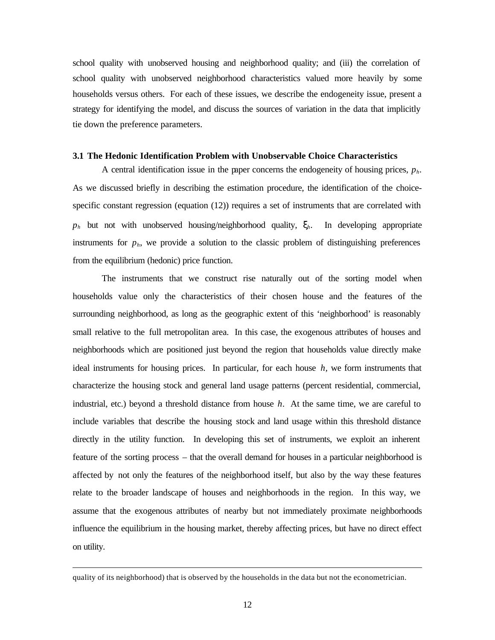school quality with unobserved housing and neighborhood quality; and (iii) the correlation of school quality with unobserved neighborhood characteristics valued more heavily by some households versus others. For each of these issues, we describe the endogeneity issue, present a strategy for identifying the model, and discuss the sources of variation in the data that implicitly tie down the preference parameters.

### **3.1 The Hedonic Identification Problem with Unobservable Choice Characteristics**

A central identification issue in the paper concerns the endogeneity of housing prices, *ph*. As we discussed briefly in describing the estimation procedure, the identification of the choicespecific constant regression (equation (12)) requires a set of instruments that are correlated with  $p_h$  but not with unobserved housing/neighborhood quality,  $\mathbf{x}_h$ . In developing appropriate instruments for  $p_h$ , we provide a solution to the classic problem of distinguishing preferences from the equilibrium (hedonic) price function.

The instruments that we construct rise naturally out of the sorting model when households value only the characteristics of their chosen house and the features of the surrounding neighborhood, as long as the geographic extent of this 'neighborhood' is reasonably small relative to the full metropolitan area. In this case, the exogenous attributes of houses and neighborhoods which are positioned just beyond the region that households value directly make ideal instruments for housing prices. In particular, for each house *h,* we form instruments that characterize the housing stock and general land usage patterns (percent residential, commercial, industrial, etc.) beyond a threshold distance from house *h*. At the same time, we are careful to include variables that describe the housing stock and land usage within this threshold distance directly in the utility function. In developing this set of instruments, we exploit an inherent feature of the sorting process – that the overall demand for houses in a particular neighborhood is affected by not only the features of the neighborhood itself, but also by the way these features relate to the broader landscape of houses and neighborhoods in the region. In this way, we assume that the exogenous attributes of nearby but not immediately proximate neighborhoods influence the equilibrium in the housing market, thereby affecting prices, but have no direct effect on utility.

 $\ddot{\phantom{a}}$ 

quality of its neighborhood) that is observed by the households in the data but not the econometrician.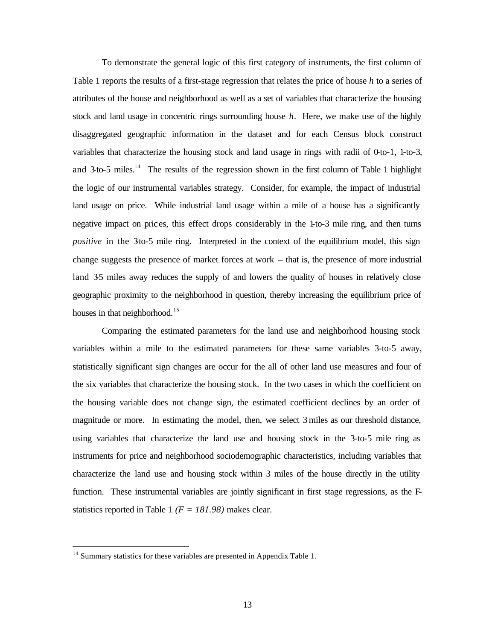To demonstrate the general logic of this first category of instruments, the first column of Table 1 reports the results of a first-stage regression that relates the price of house *h* to a series of attributes of the house and neighborhood as well as a set of variables that characterize the housing stock and land usage in concentric rings surrounding house *h*. Here, we make use of the highly disaggregated geographic information in the dataset and for each Census block construct variables that characterize the housing stock and land usage in rings with radii of 0-to-1, 1-to-3, and  $3$  to-5 miles.<sup>14</sup> The results of the regression shown in the first column of Table 1 highlight the logic of our instrumental variables strategy. Consider, for example, the impact of industrial land usage on price. While industrial land usage within a mile of a house has a significantly negative impact on prices, this effect drops considerably in the 1-to-3 mile ring, and then turns *positive* in the 3to-5 mile ring. Interpreted in the context of the equilibrium model, this sign change suggests the presence of market forces at work – that is, the presence of more industrial land 35 miles away reduces the supply of and lowers the quality of houses in relatively close geographic proximity to the neighborhood in question, thereby increasing the equilibrium price of houses in that neighborhood.<sup>15</sup>

Comparing the estimated parameters for the land use and neighborhood housing stock variables within a mile to the estimated parameters for these same variables 3-to-5 away, statistically significant sign changes are occur for the all of other land use measures and four of the six variables that characterize the housing stock. In the two cases in which the coefficient on the housing variable does not change sign, the estimated coefficient declines by an order of magnitude or more. In estimating the model, then, we select 3 miles as our threshold distance, using variables that characterize the land use and housing stock in the 3-to-5 mile ring as instruments for price and neighborhood sociodemographic characteristics, including variables that characterize the land use and housing stock within 3 miles of the house directly in the utility function. These instrumental variables are jointly significant in first stage regressions, as the Fstatistics reported in Table 1 *(F = 181.98)* makes clear.

 $\ddot{\phantom{a}}$ 

<sup>&</sup>lt;sup>14</sup> Summary statistics for these variables are presented in Appendix Table 1.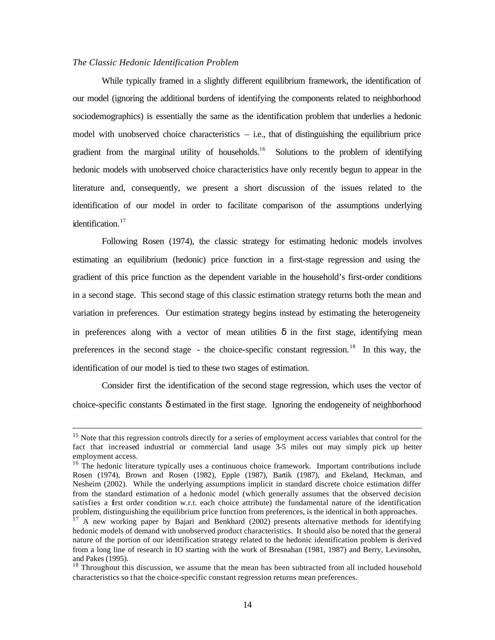### *The Classic Hedonic Identification Problem*

 $\overline{a}$ 

While typically framed in a slightly different equilibrium framework, the identification of our model (ignoring the additional burdens of identifying the components related to neighborhood sociodemographics) is essentially the same as the identification problem that underlies a hedonic model with unobserved choice characteristics  $-$  i.e., that of distinguishing the equilibrium price gradient from the marginal utility of households.<sup>16</sup> Solutions to the problem of identifying hedonic models with unobserved choice characteristics have only recently begun to appear in the literature and, consequently, we present a short discussion of the issues related to the identification of our model in order to facilitate comparison of the assumptions underlying identification.<sup>17</sup>

Following Rosen (1974), the classic strategy for estimating hedonic models involves estimating an equilibrium (hedonic) price function in a first-stage regression and using the gradient of this price function as the dependent variable in the household's first-order conditions in a second stage. This second stage of this classic estimation strategy returns both the mean and variation in preferences. Our estimation strategy begins instead by estimating the heterogeneity in preferences along with a vector of mean utilities  $\boldsymbol{d}$  in the first stage, identifying mean preferences in the second stage - the choice-specific constant regression.<sup>18</sup> In this way, the identification of our model is tied to these two stages of estimation.

Consider first the identification of the second stage regression, which uses the vector of choice-specific constants *d* estimated in the first stage. Ignoring the endogeneity of neighborhood

<sup>&</sup>lt;sup>15</sup> Note that this regression controls directly for a series of employment access variables that control for the fact that increased industrial or commercial land usage 3-5 miles out may simply pick up better employment access.

<sup>&</sup>lt;sup>16</sup> The hedonic literature typically uses a continuous choice framework. Important contributions include Rosen (1974), Brown and Rosen (1982), Epple (1987), Bartik (1987), and Ekeland, Heckman, and Nesheim (2002). While the underlying assumptions implicit in standard discrete choice estimation differ from the standard estimation of a hedonic model (which generally assumes that the observed decision satisfies a first order condition w.r.t. each choice attribute) the fundamental nature of the identification problem, distinguishing the equilibrium price function from preferences, is the identical in both approaches.

 $17$  A new working paper by Bajari and Benkhard (2002) presents alternative methods for identifying hedonic models of demand with unobserved product characteristics. It should also be noted that the general nature of the portion of our identification strategy related to the hedonic identification problem is derived from a long line of research in IO starting with the work of Bresnahan (1981, 1987) and Berry, Levinsohn, and Pakes (1995).

<sup>&</sup>lt;sup>18</sup> Throughout this discussion, we assume that the mean has been subtracted from all included household characteristics so that the choice-specific constant regression returns mean preferences.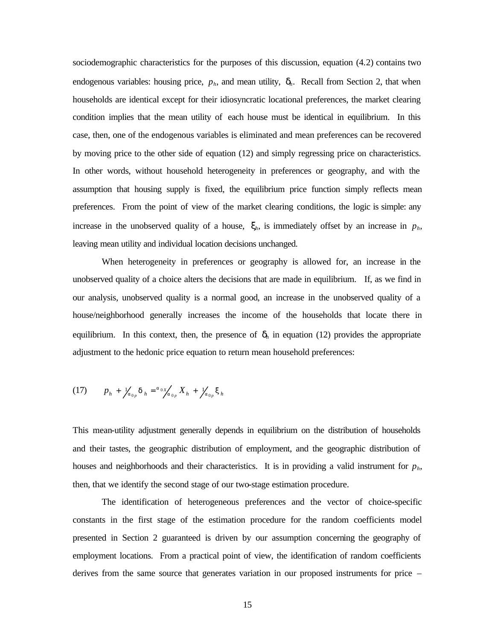sociodemographic characteristics for the purposes of this discussion, equation (4.2) contains two endogenous variables: housing price,  $p_h$ , and mean utility,  $\mathbf{d}_h$ . Recall from Section 2, that when households are identical except for their idiosyncratic locational preferences, the market clearing condition implies that the mean utility of each house must be identical in equilibrium. In this case, then, one of the endogenous variables is eliminated and mean preferences can be recovered by moving price to the other side of equation (12) and simply regressing price on characteristics. In other words, without household heterogeneity in preferences or geography, and with the assumption that housing supply is fixed, the equilibrium price function simply reflects mean preferences. From the point of view of the market clearing conditions, the logic is simple: any increase in the unobserved quality of a house,  $\mathbf{x}_h$ , is immediately offset by an increase in  $p_h$ , leaving mean utility and individual location decisions unchanged.

When heterogeneity in preferences or geography is allowed for, an increase in the unobserved quality of a choice alters the decisions that are made in equilibrium. If, as we find in our analysis, unobserved quality is a normal good, an increase in the unobserved quality of a house/neighborhood generally increases the income of the households that locate there in equilibrium. In this context, then, the presence of  $\boldsymbol{d}_h$  in equation (12) provides the appropriate adjustment to the hedonic price equation to return mean household preferences:

(17) 
$$
p_h + \frac{1}{2} \int_{a_{0p}} d_h = \frac{a_{0x}}{2} \int_{a_{0p}} X_h + \frac{1}{2} \int_{a_{0p}} x_h
$$

This mean-utility adjustment generally depends in equilibrium on the distribution of households and their tastes, the geographic distribution of employment, and the geographic distribution of houses and neighborhoods and their characteristics. It is in providing a valid instrument for  $p_h$ , then, that we identify the second stage of our two-stage estimation procedure.

The identification of heterogeneous preferences and the vector of choice-specific constants in the first stage of the estimation procedure for the random coefficients model presented in Section 2 guaranteed is driven by our assumption concerning the geography of employment locations. From a practical point of view, the identification of random coefficients derives from the same source that generates variation in our proposed instruments for price –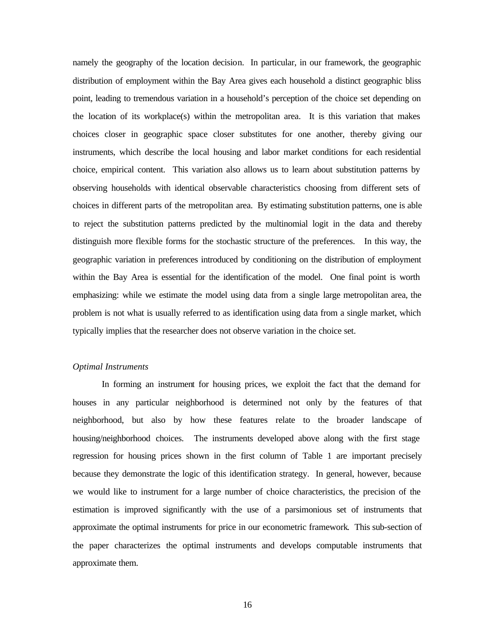namely the geography of the location decision. In particular, in our framework, the geographic distribution of employment within the Bay Area gives each household a distinct geographic bliss point, leading to tremendous variation in a household's perception of the choice set depending on the location of its workplace(s) within the metropolitan area. It is this variation that makes choices closer in geographic space closer substitutes for one another, thereby giving our instruments, which describe the local housing and labor market conditions for each residential choice, empirical content. This variation also allows us to learn about substitution patterns by observing households with identical observable characteristics choosing from different sets of choices in different parts of the metropolitan area. By estimating substitution patterns, one is able to reject the substitution patterns predicted by the multinomial logit in the data and thereby distinguish more flexible forms for the stochastic structure of the preferences. In this way, the geographic variation in preferences introduced by conditioning on the distribution of employment within the Bay Area is essential for the identification of the model. One final point is worth emphasizing: while we estimate the model using data from a single large metropolitan area, the problem is not what is usually referred to as identification using data from a single market, which typically implies that the researcher does not observe variation in the choice set.

### *Optimal Instruments*

In forming an instrument for housing prices, we exploit the fact that the demand for houses in any particular neighborhood is determined not only by the features of that neighborhood, but also by how these features relate to the broader landscape of housing/neighborhood choices. The instruments developed above along with the first stage regression for housing prices shown in the first column of Table 1 are important precisely because they demonstrate the logic of this identification strategy. In general, however, because we would like to instrument for a large number of choice characteristics, the precision of the estimation is improved significantly with the use of a parsimonious set of instruments that approximate the optimal instruments for price in our econometric framework. This sub-section of the paper characterizes the optimal instruments and develops computable instruments that approximate them.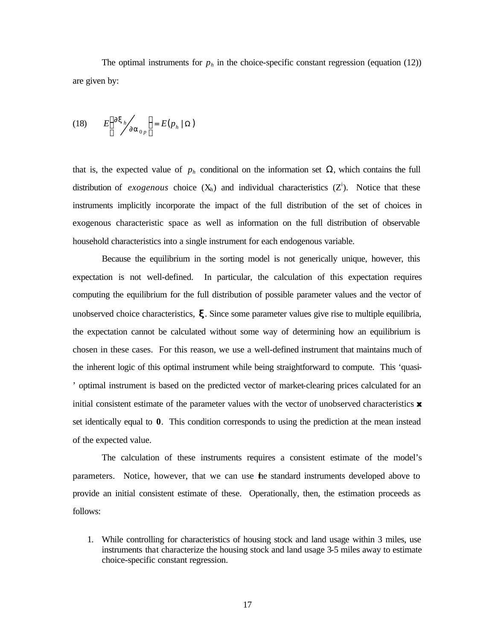The optimal instruments for  $p_h$  in the choice-specific constant regression (equation (12)) are given by:

$$
(18) \t E\left(\frac{\partial {\bm x}_h}{\partial {\bm a}_{0p}}\right) = E(p_h | \Omega)
$$

that is, the expected value of  $p_h$  conditional on the information set  $\Omega$ , which contains the full distribution of *exogenous* choice  $(X_h)$  and individual characteristics  $(Z^i)$ . Notice that these instruments implicitly incorporate the impact of the full distribution of the set of choices in exogenous characteristic space as well as information on the full distribution of observable household characteristics into a single instrument for each endogenous variable.

Because the equilibrium in the sorting model is not generically unique, however, this expectation is not well-defined. In particular, the calculation of this expectation requires computing the equilibrium for the full distribution of possible parameter values and the vector of unobserved choice characteristics, **x**. Since some parameter values give rise to multiple equilibria, the expectation cannot be calculated without some way of determining how an equilibrium is chosen in these cases. For this reason, we use a well-defined instrument that maintains much of the inherent logic of this optimal instrument while being straightforward to compute. This 'quasi- ' optimal instrument is based on the predicted vector of market-clearing prices calculated for an initial consistent estimate of the parameter values with the vector of unobserved characteristics *x* set identically equal to **0**. This condition corresponds to using the prediction at the mean instead of the expected value.

The calculation of these instruments requires a consistent estimate of the model's parameters. Notice, however, that we can use the standard instruments developed above to provide an initial consistent estimate of these. Operationally, then, the estimation proceeds as follows:

1. While controlling for characteristics of housing stock and land usage within 3 miles, use instruments that characterize the housing stock and land usage 3-5 miles away to estimate choice-specific constant regression.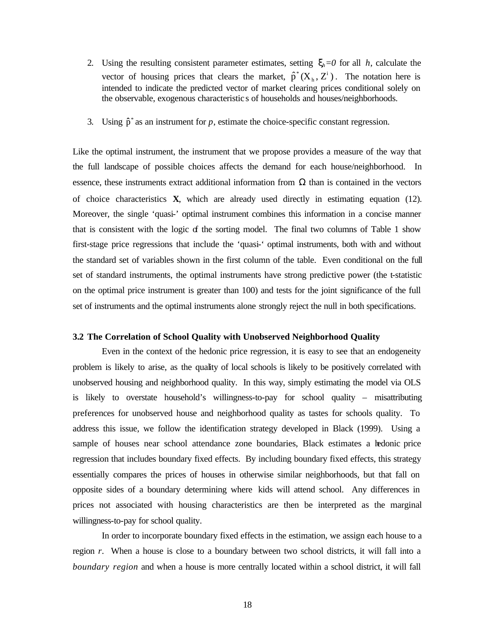- 2. Using the resulting consistent parameter estimates, setting  $\mathbf{x}_h = 0$  for all *h*, calculate the vector of housing prices that clears the market,  $\hat{p}^*(X_h, Z^i)$ h  $(X_h, Z^i)$ . The notation here is intended to indicate the predicted vector of market clearing prices conditional solely on the observable, exogenous characteristic s of households and houses/neighborhoods.
- 3. Using  $\hat{p}^*$  as an instrument for *p*, estimate the choice-specific constant regression.

Like the optimal instrument, the instrument that we propose provides a measure of the way that the full landscape of possible choices affects the demand for each house/neighborhood. In essence, these instruments extract additional information from  $\Omega$  than is contained in the vectors of choice characteristics **X**, which are already used directly in estimating equation (12). Moreover, the single 'quasi-' optimal instrument combines this information in a concise manner that is consistent with the logic  $f$  the sorting model. The final two columns of Table 1 show first-stage price regressions that include the 'quasi-' optimal instruments, both with and without the standard set of variables shown in the first column of the table. Even conditional on the full set of standard instruments, the optimal instruments have strong predictive power (the t-statistic on the optimal price instrument is greater than 100) and tests for the joint significance of the full set of instruments and the optimal instruments alone strongly reject the null in both specifications.

### **3.2 The Correlation of School Quality with Unobserved Neighborhood Quality**

Even in the context of the hedonic price regression, it is easy to see that an endogeneity problem is likely to arise, as the quality of local schools is likely to be positively correlated with unobserved housing and neighborhood quality. In this way, simply estimating the model via OLS is likely to overstate household's willingness-to-pay for school quality – misattributing preferences for unobserved house and neighborhood quality as tastes for schools quality. To address this issue, we follow the identification strategy developed in Black (1999). Using a sample of houses near school attendance zone boundaries, Black estimates a hedonic price regression that includes boundary fixed effects. By including boundary fixed effects, this strategy essentially compares the prices of houses in otherwise similar neighborhoods, but that fall on opposite sides of a boundary determining where kids will attend school. Any differences in prices not associated with housing characteristics are then be interpreted as the marginal willingness-to-pay for school quality.

In order to incorporate boundary fixed effects in the estimation, we assign each house to a region *r*. When a house is close to a boundary between two school districts, it will fall into a *boundary region* and when a house is more centrally located within a school district, it will fall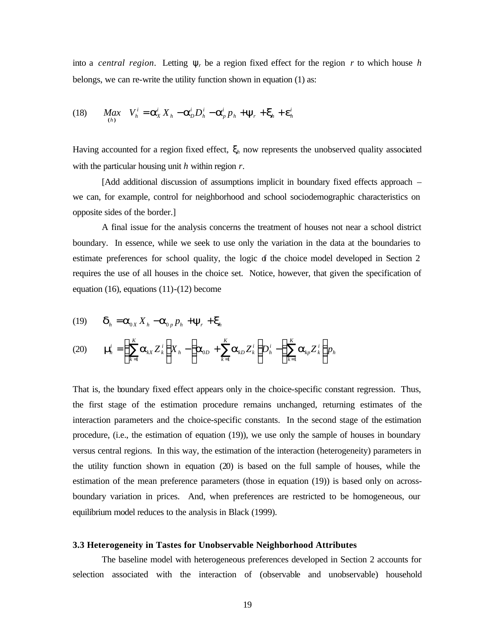into a *central region*. Letting  $y_r$  be a region fixed effect for the region r to which house h belongs, we can re-write the utility function shown in equation (1) as:

(18) 
$$
Max_{(h)} V_h^i = \mathbf{a}_X^i X_h - \mathbf{a}_D^i D_h^i - \mathbf{a}_p^i P_h + \mathbf{y}_r + \mathbf{x}_h + \mathbf{e}_h^i
$$

Having accounted for a region fixed effect,  $\mathbf{x}_h$  now represents the unobserved quality associated with the particular housing unit *h* within region *r*.

[Add additional discussion of assumptions implicit in boundary fixed effects approach – we can, for example, control for neighborhood and school sociodemographic characteristics on opposite sides of the border.]

A final issue for the analysis concerns the treatment of houses not near a school district boundary. In essence, while we seek to use only the variation in the data at the boundaries to estimate preferences for school quality, the logic  $\sigma$  the choice model developed in Section 2 requires the use of all houses in the choice set. Notice, however, that given the specification of equation (16), equations (11)-(12) become

(19) 
$$
\mathbf{d}_h = \mathbf{a}_{0X} X_h - \mathbf{a}_{0p} p_h + \mathbf{y}_r + \mathbf{x}_h
$$

$$
(20) \qquad \mathbf{n}_h^i = \left(\sum_{k=1}^K \mathbf{a}_{kX} Z_k^i\right) X_h - \left(\mathbf{a}_{0D} + \sum_{k=1}^K \mathbf{a}_{kD} Z_k^i\right) D_h^i - \left(\sum_{k=1}^K \mathbf{a}_{kp} Z_k^i\right) p_h
$$

That is, the boundary fixed effect appears only in the choice-specific constant regression. Thus, the first stage of the estimation procedure remains unchanged, returning estimates of the interaction parameters and the choice-specific constants. In the second stage of the estimation procedure, (i.e., the estimation of equation (19)), we use only the sample of houses in boundary versus central regions. In this way, the estimation of the interaction (heterogeneity) parameters in the utility function shown in equation (20) is based on the full sample of houses, while the estimation of the mean preference parameters (those in equation (19)) is based only on acrossboundary variation in prices. And, when preferences are restricted to be homogeneous, our equilibrium model reduces to the analysis in Black (1999).

#### **3.3 Heterogeneity in Tastes for Unobservable Neighborhood Attributes**

The baseline model with heterogeneous preferences developed in Section 2 accounts for selection associated with the interaction of (observable and unobservable) household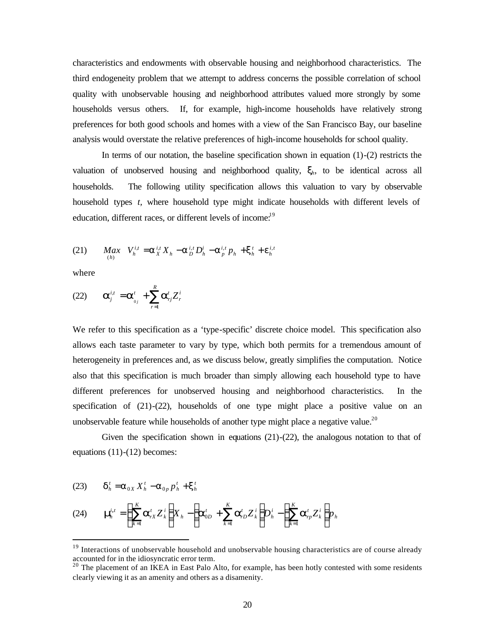characteristics and endowments with observable housing and neighborhood characteristics. The third endogeneity problem that we attempt to address concerns the possible correlation of school quality with unobservable housing and neighborhood attributes valued more strongly by some households versus others. If, for example, high-income households have relatively strong preferences for both good schools and homes with a view of the San Francisco Bay, our baseline analysis would overstate the relative preferences of high-income households for school quality.

In terms of our notation, the baseline specification shown in equation  $(1)-(2)$  restricts the valuation of unobserved housing and neighborhood quality, *xh*, to be identical across all households. The following utility specification allows this valuation to vary by observable household types *t,* where household type might indicate households with different levels of education, different races, or different levels of income.<sup>19</sup>

(21) 
$$
Max_{(h)} V_{h}^{i,t} = \mathbf{a}_{X}^{i,t} X_{h} - \mathbf{a}_{D}^{i,t} D_{h}^{i} - \mathbf{a}_{p}^{i,t} p_{h} + \mathbf{x}_{h}^{t} + \mathbf{e}_{h}^{i,t}
$$

where

 $\overline{a}$ 

(22) 
$$
\mathbf{a}_{j}^{i,t} = \mathbf{a}_{_{0j}}^{t} + \sum_{r=1}^{R} \mathbf{a}_{rj}^{t} Z_{r}^{i}
$$

We refer to this specification as a 'type-specific' discrete choice model. This specification also allows each taste parameter to vary by type, which both permits for a tremendous amount of heterogeneity in preferences and, as we discuss below, greatly simplifies the computation. Notice also that this specification is much broader than simply allowing each household type to have different preferences for unobserved housing and neighborhood characteristics. In the specification of (21)-(22), households of one type might place a positive value on an unobservable feature while households of another type might place a negative value.<sup>20</sup>

Given the specification shown in equations  $(21)-(22)$ , the analogous notation to that of equations (11)-(12) becomes:

(23) 
$$
\mathbf{d}_h^t = \mathbf{a}_{0X} X_h^t - \mathbf{a}_{0p} p_h^t + \mathbf{x}_h^t
$$

$$
(24) \qquad \mathbf{n}_{\boldsymbol{h}}^{i} = \left(\sum_{k=1}^{K} \mathbf{a}_{rX}^{i} Z_{k}^{i}\right) X_{h} - \left(\mathbf{a}_{0D}^{i} + \sum_{k=1}^{K} \mathbf{a}_{rD}^{i} Z_{k}^{i}\right) D_{h}^{i} - \left(\sum_{k=1}^{K} \mathbf{a}_{rD}^{i} Z_{k}^{i}\right) p_{h}
$$

 $19$  Interactions of unobservable household and unobservable housing characteristics are of course already accounted for in the idiosyncratic error term.

 $20$  The placement of an IKEA in East Palo Alto, for example, has been hotly contested with some residents clearly viewing it as an amenity and others as a disamenity.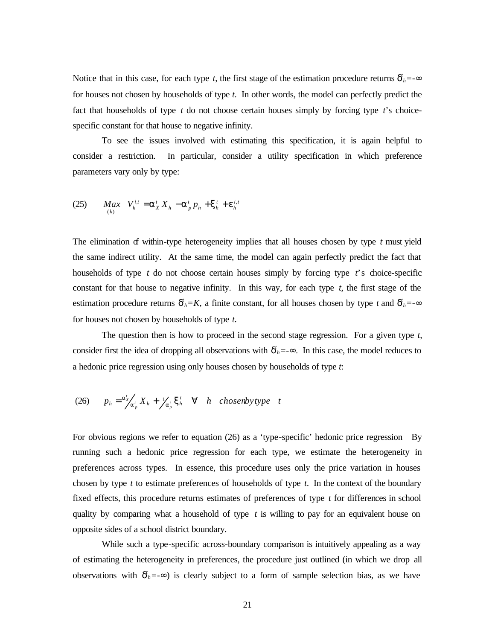Notice that in this case, for each type *t*, the first stage of the estimation procedure returns  $\mathbf{d}_h = \mathbf{F}$ for houses not chosen by households of type *t*. In other words, the model can perfectly predict the fact that households of type *t* do not choose certain houses simply by forcing type *t*'s choicespecific constant for that house to negative infinity.

To see the issues involved with estimating this specification, it is again helpful to consider a restriction. In particular, consider a utility specification in which preference parameters vary only by type:

(25) 
$$
Max_{(h)} V_h^{i,t} = \mathbf{a}_X^t X_h - \mathbf{a}_p^t p_h + \mathbf{x}_h^t + \mathbf{e}_h^{i,t}
$$

The elimination of within-type heterogeneity implies that all houses chosen by type *t* must yield the same indirect utility. At the same time, the model can again perfectly predict the fact that households of type *t* do not choose certain houses simply by forcing type *t*'s choice-specific constant for that house to negative infinity. In this way, for each type  $t$ , the first stage of the estimation procedure returns  $d_h = K$ , a finite constant, for all houses chosen by type *t* and  $d_h = -\frac{g}{\lambda}$ for houses not chosen by households of type *t*.

The question then is how to proceed in the second stage regression. For a given type *t*, consider first the idea of dropping all observations with  $\mathbf{d}_h = -\mathbf{F}$ . In this case, the model reduces to a hedonic price regression using only houses chosen by households of type *t*:

(26) 
$$
p_h = \frac{a'_X}{a'_p} X_h + \frac{1}{a'_p} \mathbf{x}_h^t \quad \forall \quad h \quad chosenby type \quad t
$$

For obvious regions we refer to equation (26) as a 'type-specific' hedonic price regression By running such a hedonic price regression for each type, we estimate the heterogeneity in preferences across types. In essence, this procedure uses only the price variation in houses chosen by type *t* to estimate preferences of households of type *t*. In the context of the boundary fixed effects, this procedure returns estimates of preferences of type *t* for differences in school quality by comparing what a household of type *t* is willing to pay for an equivalent house on opposite sides of a school district boundary.

While such a type-specific across-boundary comparison is intuitively appealing as a way of estimating the heterogeneity in preferences, the procedure just outlined (in which we drop all observations with  $\mathbf{d}_h = -\mathbf{F}$  is clearly subject to a form of sample selection bias, as we have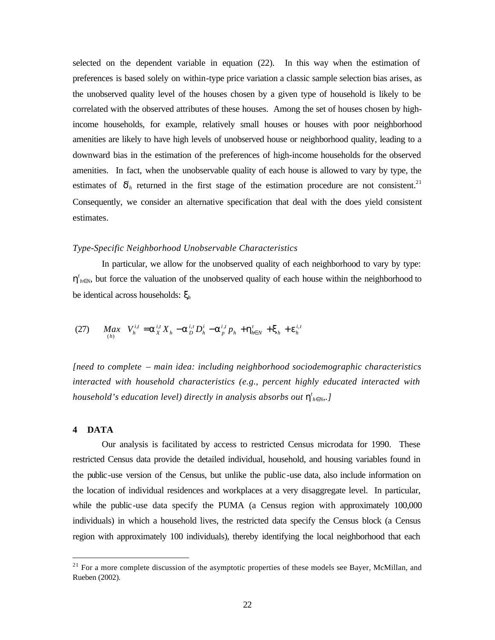selected on the dependent variable in equation (22). In this way when the estimation of preferences is based solely on within-type price variation a classic sample selection bias arises, as the unobserved quality level of the houses chosen by a given type of household is likely to be correlated with the observed attributes of these houses. Among the set of houses chosen by highincome households, for example, relatively small houses or houses with poor neighborhood amenities are likely to have high levels of unobserved house or neighborhood quality, leading to a downward bias in the estimation of the preferences of high-income households for the observed amenities. In fact, when the unobservable quality of each house is allowed to vary by type, the estimates of  $\boldsymbol{d}_h$  returned in the first stage of the estimation procedure are not consistent.<sup>21</sup> Consequently, we consider an alternative specification that deal with the does yield consistent estimates.

### *Type-Specific Neighborhood Unobservable Characteristics*

In particular, we allow for the unobserved quality of each neighborhood to vary by type:  $h'_{h}$ *f*<sub>N</sub>, but force the valuation of the unobserved quality of each house within the neighborhood to be identical across households: *x<sup>h</sup>*

(27) 
$$
Max_{(h)} V_{h}^{i,t} = a_{X}^{i,t} X_{h} - a_{D}^{i,t} D_{h}^{i} - a_{p}^{i,t} p_{h} + b_{h \in N}^{t} + x_{h} + e_{h}^{i,t}
$$

*[need to complete – main idea: including neighborhood sociodemographic characteristics interacted with household characteristics (e.g., percent highly educated interacted with household's education level) directly in analysis absorbs out*  $h'_{h}$ *<sub><i>RN*</sub>.]</sub>

### **4 DATA**

 $\overline{a}$ 

Our analysis is facilitated by access to restricted Census microdata for 1990. These restricted Census data provide the detailed individual, household, and housing variables found in the public-use version of the Census, but unlike the public-use data, also include information on the location of individual residences and workplaces at a very disaggregate level. In particular, while the public-use data specify the PUMA (a Census region with approximately 100,000 individuals) in which a household lives, the restricted data specify the Census block (a Census region with approximately 100 individuals), thereby identifying the local neighborhood that each

<sup>&</sup>lt;sup>21</sup> For a more complete discussion of the asymptotic properties of these models see Bayer, McMillan, and Rueben (2002).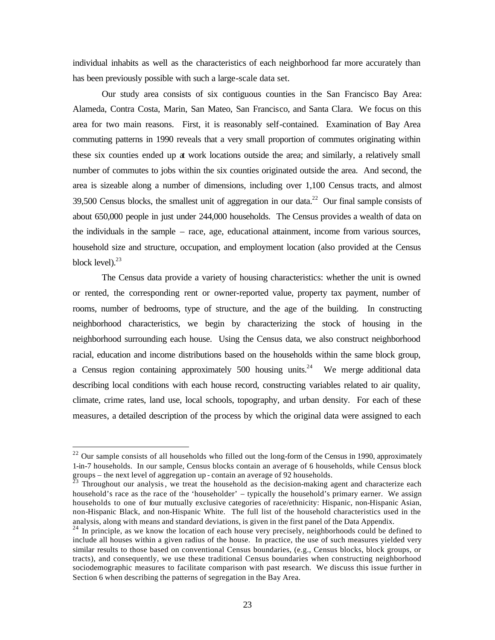individual inhabits as well as the characteristics of each neighborhood far more accurately than has been previously possible with such a large-scale data set.

Our study area consists of six contiguous counties in the San Francisco Bay Area: Alameda, Contra Costa, Marin, San Mateo, San Francisco, and Santa Clara. We focus on this area for two main reasons. First, it is reasonably self-contained. Examination of Bay Area commuting patterns in 1990 reveals that a very small proportion of commutes originating within these six counties ended up at work locations outside the area; and similarly, a relatively small number of commutes to jobs within the six counties originated outside the area. And second, the area is sizeable along a number of dimensions, including over 1,100 Census tracts, and almost 39,500 Census blocks, the smallest unit of aggregation in our data.<sup>22</sup> Our final sample consists of about 650,000 people in just under 244,000 households. The Census provides a wealth of data on the individuals in the sample – race, age, educational attainment, income from various sources, household size and structure, occupation, and employment location (also provided at the Census block level). $^{23}$ 

The Census data provide a variety of housing characteristics: whether the unit is owned or rented, the corresponding rent or owner-reported value, property tax payment, number of rooms, number of bedrooms, type of structure, and the age of the building. In constructing neighborhood characteristics, we begin by characterizing the stock of housing in the neighborhood surrounding each house. Using the Census data, we also construct neighborhood racial, education and income distributions based on the households within the same block group, a Census region containing approximately  $500$  housing units.<sup>24</sup> We merge additional data describing local conditions with each house record, constructing variables related to air quality, climate, crime rates, land use, local schools, topography, and urban density. For each of these measures, a detailed description of the process by which the original data were assigned to each

 $\overline{a}$ 

 $22$  Our sample consists of all households who filled out the long-form of the Census in 1990, approximately 1-in-7 households. In our sample, Census blocks contain an average of 6 households, while Census block groups – the next level of aggregation up - contain an average of 92 households.

 $^{\overline{23}}$  Throughout our analysis, we treat the household as the decision-making agent and characterize each household's race as the race of the 'householder' – typically the household's primary earner. We assign households to one of four mutually exclusive categories of race/ethnicity: Hispanic, non-Hispanic Asian, non-Hispanic Black, and non-Hispanic White. The full list of the household characteristics used in the analysis, along with means and standard deviations, is given in the first panel of the Data Appendix.

<sup>&</sup>lt;sup>24</sup> In principle, as we know the location of each house very precisely, neighborhoods could be defined to include all houses within a given radius of the house. In practice, the use of such measures yielded very similar results to those based on conventional Census boundaries, (e.g., Census blocks, block groups, or tracts), and consequently, we use these traditional Census boundaries when constructing neighborhood sociodemographic measures to facilitate comparison with past research. We discuss this issue further in Section 6 when describing the patterns of segregation in the Bay Area.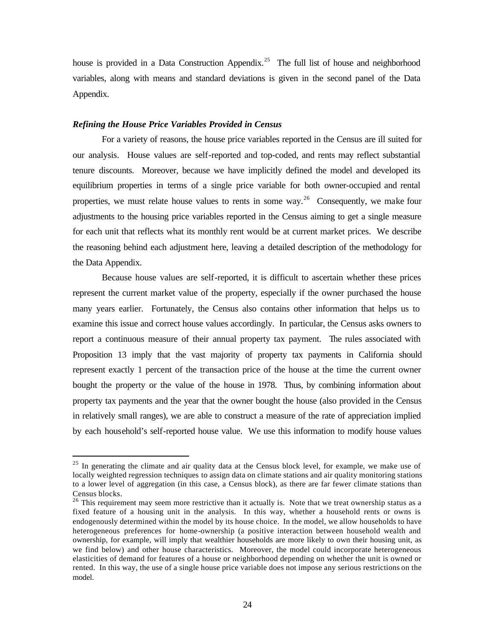house is provided in a Data Construction Appendix.<sup>25</sup> The full list of house and neighborhood variables, along with means and standard deviations is given in the second panel of the Data Appendix.

## *Refining the House Price Variables Provided in Census*

 $\overline{a}$ 

For a variety of reasons, the house price variables reported in the Census are ill suited for our analysis. House values are self-reported and top-coded, and rents may reflect substantial tenure discounts. Moreover, because we have implicitly defined the model and developed its equilibrium properties in terms of a single price variable for both owner-occupied and rental properties, we must relate house values to rents in some way.<sup>26</sup> Consequently, we make four adjustments to the housing price variables reported in the Census aiming to get a single measure for each unit that reflects what its monthly rent would be at current market prices. We describe the reasoning behind each adjustment here, leaving a detailed description of the methodology for the Data Appendix.

Because house values are self-reported, it is difficult to ascertain whether these prices represent the current market value of the property, especially if the owner purchased the house many years earlier. Fortunately, the Census also contains other information that helps us to examine this issue and correct house values accordingly. In particular, the Census asks owners to report a continuous measure of their annual property tax payment. The rules associated with Proposition 13 imply that the vast majority of property tax payments in California should represent exactly 1 percent of the transaction price of the house at the time the current owner bought the property or the value of the house in 1978. Thus, by combining information about property tax payments and the year that the owner bought the house (also provided in the Census in relatively small ranges), we are able to construct a measure of the rate of appreciation implied by each household's self-reported house value. We use this information to modify house values

<sup>&</sup>lt;sup>25</sup> In generating the climate and air quality data at the Census block level, for example, we make use of locally weighted regression techniques to assign data on climate stations and air quality monitoring stations to a lower level of aggregation (in this case, a Census block), as there are far fewer climate stations than Census blocks.

<sup>&</sup>lt;sup>26</sup> This requirement may seem more restrictive than it actually is. Note that we treat ownership status as a fixed feature of a housing unit in the analysis. In this way, whether a household rents or owns is endogenously determined within the model by its house choice. In the model, we allow households to have heterogeneous preferences for home-ownership (a positive interaction between household wealth and ownership, for example, will imply that wealthier households are more likely to own their housing unit, as we find below) and other house characteristics. Moreover, the model could incorporate heterogeneous elasticities of demand for features of a house or neighborhood depending on whether the unit is owned or rented. In this way, the use of a single house price variable does not impose any serious restrictions on the model.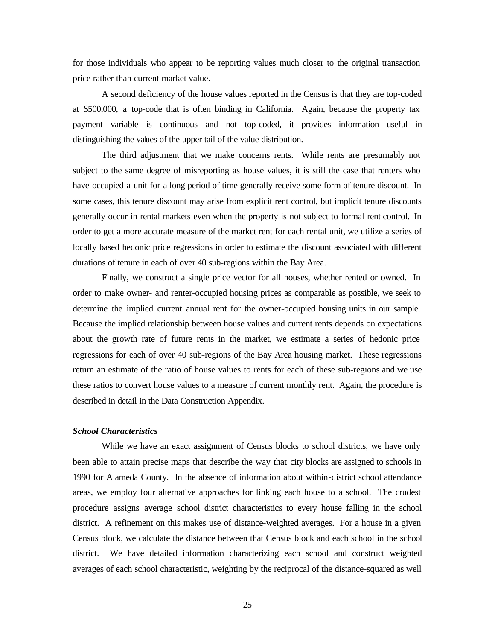for those individuals who appear to be reporting values much closer to the original transaction price rather than current market value.

A second deficiency of the house values reported in the Census is that they are top-coded at \$500,000, a top-code that is often binding in California. Again, because the property tax payment variable is continuous and not top-coded, it provides information useful in distinguishing the values of the upper tail of the value distribution.

The third adjustment that we make concerns rents. While rents are presumably not subject to the same degree of misreporting as house values, it is still the case that renters who have occupied a unit for a long period of time generally receive some form of tenure discount. In some cases, this tenure discount may arise from explicit rent control, but implicit tenure discounts generally occur in rental markets even when the property is not subject to formal rent control. In order to get a more accurate measure of the market rent for each rental unit, we utilize a series of locally based hedonic price regressions in order to estimate the discount associated with different durations of tenure in each of over 40 sub-regions within the Bay Area.

Finally, we construct a single price vector for all houses, whether rented or owned. In order to make owner- and renter-occupied housing prices as comparable as possible, we seek to determine the implied current annual rent for the owner-occupied housing units in our sample. Because the implied relationship between house values and current rents depends on expectations about the growth rate of future rents in the market, we estimate a series of hedonic price regressions for each of over 40 sub-regions of the Bay Area housing market. These regressions return an estimate of the ratio of house values to rents for each of these sub-regions and we use these ratios to convert house values to a measure of current monthly rent. Again, the procedure is described in detail in the Data Construction Appendix.

### *School Characteristics*

While we have an exact assignment of Census blocks to school districts, we have only been able to attain precise maps that describe the way that city blocks are assigned to schools in 1990 for Alameda County. In the absence of information about within-district school attendance areas, we employ four alternative approaches for linking each house to a school. The crudest procedure assigns average school district characteristics to every house falling in the school district. A refinement on this makes use of distance-weighted averages. For a house in a given Census block, we calculate the distance between that Census block and each school in the school district. We have detailed information characterizing each school and construct weighted averages of each school characteristic, weighting by the reciprocal of the distance-squared as well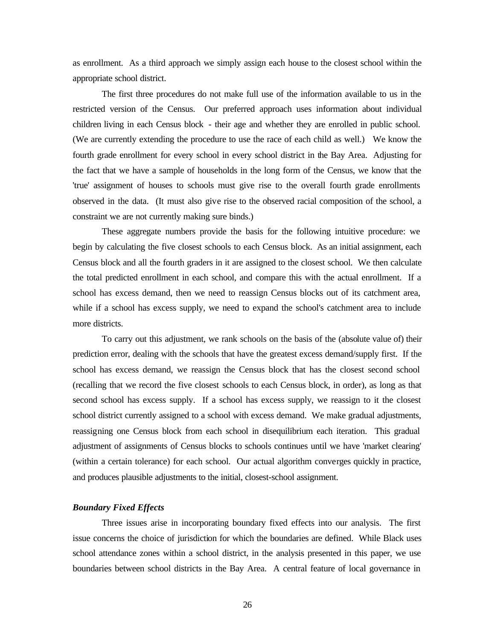as enrollment. As a third approach we simply assign each house to the closest school within the appropriate school district.

The first three procedures do not make full use of the information available to us in the restricted version of the Census. Our preferred approach uses information about individual children living in each Census block - their age and whether they are enrolled in public school. (We are currently extending the procedure to use the race of each child as well.) We know the fourth grade enrollment for every school in every school district in the Bay Area. Adjusting for the fact that we have a sample of households in the long form of the Census, we know that the 'true' assignment of houses to schools must give rise to the overall fourth grade enrollments observed in the data. (It must also give rise to the observed racial composition of the school, a constraint we are not currently making sure binds.)

These aggregate numbers provide the basis for the following intuitive procedure: we begin by calculating the five closest schools to each Census block. As an initial assignment, each Census block and all the fourth graders in it are assigned to the closest school. We then calculate the total predicted enrollment in each school, and compare this with the actual enrollment. If a school has excess demand, then we need to reassign Census blocks out of its catchment area, while if a school has excess supply, we need to expand the school's catchment area to include more districts.

To carry out this adjustment, we rank schools on the basis of the (absolute value of) their prediction error, dealing with the schools that have the greatest excess demand/supply first. If the school has excess demand, we reassign the Census block that has the closest second school (recalling that we record the five closest schools to each Census block, in order), as long as that second school has excess supply. If a school has excess supply, we reassign to it the closest school district currently assigned to a school with excess demand. We make gradual adjustments, reassigning one Census block from each school in disequilibrium each iteration. This gradual adjustment of assignments of Census blocks to schools continues until we have 'market clearing' (within a certain tolerance) for each school. Our actual algorithm converges quickly in practice, and produces plausible adjustments to the initial, closest-school assignment.

### *Boundary Fixed Effects*

Three issues arise in incorporating boundary fixed effects into our analysis. The first issue concerns the choice of jurisdiction for which the boundaries are defined. While Black uses school attendance zones within a school district, in the analysis presented in this paper, we use boundaries between school districts in the Bay Area. A central feature of local governance in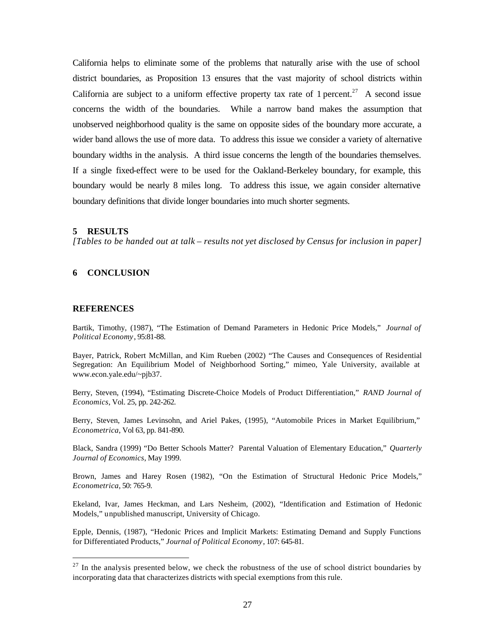California helps to eliminate some of the problems that naturally arise with the use of school district boundaries, as Proposition 13 ensures that the vast majority of school districts within California are subject to a uniform effective property tax rate of 1 percent.<sup>27</sup> A second issue concerns the width of the boundaries. While a narrow band makes the assumption that unobserved neighborhood quality is the same on opposite sides of the boundary more accurate, a wider band allows the use of more data. To address this issue we consider a variety of alternative boundary widths in the analysis. A third issue concerns the length of the boundaries themselves. If a single fixed-effect were to be used for the Oakland-Berkeley boundary, for example, this boundary would be nearly 8 miles long. To address this issue, we again consider alternative boundary definitions that divide longer boundaries into much shorter segments.

### **5 RESULTS**

*[Tables to be handed out at talk – results not yet disclosed by Census for inclusion in paper]*

### **6 CONCLUSION**

#### **REFERENCES**

 $\overline{a}$ 

Bartik, Timothy, (1987), "The Estimation of Demand Parameters in Hedonic Price Models," *Journal of Political Economy*, 95:81-88.

Bayer, Patrick, Robert McMillan, and Kim Rueben (2002) "The Causes and Consequences of Residential Segregation: An Equilibrium Model of Neighborhood Sorting," mimeo, Yale University, available at www.econ.yale.edu/~pjb37.

Berry, Steven, (1994), "Estimating Discrete-Choice Models of Product Differentiation," *RAND Journal of Economics*, Vol. 25, pp. 242-262.

Berry, Steven, James Levinsohn, and Ariel Pakes, (1995), "Automobile Prices in Market Equilibrium," *Econometrica*, Vol 63, pp. 841-890.

Black, Sandra (1999) "Do Better Schools Matter? Parental Valuation of Elementary Education," *Quarterly Journal of Economics*, May 1999.

Brown, James and Harey Rosen (1982), "On the Estimation of Structural Hedonic Price Models," *Econometrica*, 50: 765-9.

Ekeland, Ivar, James Heckman, and Lars Nesheim, (2002), "Identification and Estimation of Hedonic Models," unpublished manuscript, University of Chicago.

Epple, Dennis, (1987), "Hedonic Prices and Implicit Markets: Estimating Demand and Supply Functions for Differentiated Products," *Journal of Political Economy*, 107: 645-81.

 $27$  In the analysis presented below, we check the robustness of the use of school district boundaries by incorporating data that characterizes districts with special exemptions from this rule.